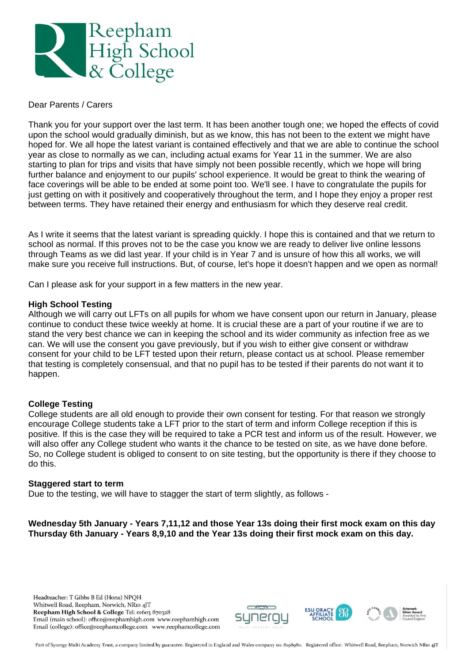

## Dear Parents / Carers

Thank you for your support over the last term. It has been another tough one; we hoped the effects of covid upon the school would gradually diminish, but as we know, this has not been to the extent we might have hoped for. We all hope the latest variant is contained effectively and that we are able to continue the school year as close to normally as we can, including actual exams for Year 11 in the summer. We are also starting to plan for trips and visits that have simply not been possible recently, which we hope will bring further balance and enjoyment to our pupils' school experience. It would be great to think the wearing of face coverings will be able to be ended at some point too. We'll see. I have to congratulate the pupils for just getting on with it positively and cooperatively throughout the term, and I hope they enjoy a proper rest between terms. They have retained their energy and enthusiasm for which they deserve real credit.

As I write it seems that the latest variant is spreading quickly. I hope this is contained and that we return to school as normal. If this proves not to be the case you know we are ready to deliver live online lessons through Teams as we did last year. If your child is in Year 7 and is unsure of how this all works, we will make sure you receive full instructions. But, of course, let's hope it doesn't happen and we open as normal!

Can I please ask for your support in a few matters in the new year.

## **High School Testing**

Although we will carry out LFTs on all pupils for whom we have consent upon our return in January, please continue to conduct these twice weekly at home. It is crucial these are a part of your routine if we are to stand the very best chance we can in keeping the school and its wider community as infection free as we can. We will use the consent you gave previously, but if you wish to either give consent or withdraw consent for your child to be LFT tested upon their return, please contact us at school. Please remember that testing is completely consensual, and that no pupil has to be tested if their parents do not want it to happen.

# **College Testing**

College students are all old enough to provide their own consent for testing. For that reason we strongly encourage College students take a LFT prior to the start of term and inform College reception if this is positive. If this is the case they will be required to take a PCR test and inform us of the result. However, we will also offer any College student who wants it the chance to be tested on site, as we have done before. So, no College student is obliged to consent to on site testing, but the opportunity is there if they choose to do this.

#### **Staggered start to term**

Due to the testing, we will have to stagger the start of term slightly, as follows -

**Wednesday 5th January - Years 7,11,12 and those Year 13s doing their first mock exam on this day Thursday 6th January - Years 8,9,10 and the Year 13s doing their first mock exam on this day.**

Headteacher: T Gibbs B Ed (Hons) NPOH Whitwell Road, Reepham, Norwich, NR10 4JT Reepham High School & College Tel: 01603 870328 Email (main school): office@reephamhigh.com www.reephamhigh.com Email (college): office@reephamcollege.com www.reephamcollege.com